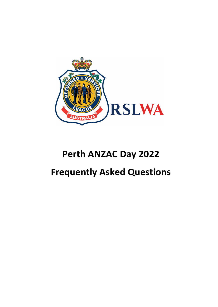

# **Perth ANZAC Day 2022 Frequently Asked Questions**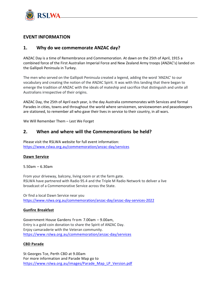

# **EVENT INFORMATION**

# **1. Why do we commemorate ANZAC day?**

ANZAC Day is a time of Remembrance and Commemoration. At dawn on the 25th of April, 1915 a combined force of the First Australian Imperial Force and New Zealand Army troops (ANZAC's) landed on the Gallipoli Peninsula in Turkey.

The men who served on the Gallipoli Peninsula created a legend, adding the word 'ANZAC' to our vocabulary and creating the notion of the ANZAC Spirit. It was with this landing that there began to emerge the tradition of ANZAC with the ideals of mateship and sacrifice that distinguish and unite all Australians irrespective of their origins.

ANZAC Day, the 25th of April each year, is the day Australia commemorates with Services and formal Parades in cities, towns and throughout the world where servicemen, servicewomen and peacekeepers are stationed, to remember all who gave their lives in service to their country, in all wars.

We Will Remember Them – Lest We Forget

# **2. When and where will the Commemorations be held?**

Please visit the RSLWA website for full event information: <https://www.rslwa.org.au/commemoration/anzac-day/services>

#### **Dawn [Service](https://www.rslwa.org.au/events-calendar/anzac-day-dawn-service/)**

5.50am – 6.30am

From your driveway, balcony, living room or at the farm gate. RSLWA have partnered with Radio 95.4 and the Triple M Radio Network to deliver a live broadcast of a Commemorative Service across the State.

Or find a local Dawn Service near you <https://www.rslwa.org.au/commemoration/anzac-day/anzac-day-services-2022>

#### **Gunfire [Breakfast](https://www.rslwa.org.au/events-calendar/gunfire-breakfast/)**

Government House Gardens from 7.00am – 9.00am, Entry is a gold coin donation to share the Spirit of ANZAC Day. Enjoy camaraderie with the Veteran community. <https://www.rslwa.org.au/commemoration/anzac-day/services>

#### **CBD [Parade](https://www.rslwa.org.au/events-calendar/2021-anzac-day-march/)**

St Georges Tce, Perth CBD at 9.00am For more information and Parade Map go to [https://www.rslwa.org.au/images/Parade\\_Map\\_LP\\_Version.pdf](https://www.rslwa.org.au/images/Parade_Map_LP_Version.pdf)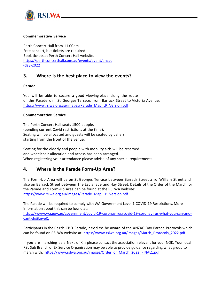

#### **[Commemorative](https://www.rslwa.org.au/commemoration/anzac-day/event/services/commemorative-service/) Service**

Perth Concert Hall from 11.00am Free concert, but tickets are required. Book tickets at Perth Concert Hall website. [https://perthconcerthall.com.au/events/event/anzac](https://perthconcerthall.com.au/events/event/anzac-day-2022) [-day-2022](https://perthconcerthall.com.au/events/event/anzac-day-2022)

## **3. Where is the best place to view the events?**

#### **Parade**

You will be able to secure a good viewing place along the route of the Parade on St Georges Terrace, from Barrack Street to Victoria Avenue. [https://www.rslwa.org.au/images/Parade\\_Map\\_LP\\_Version.pdf](https://www.rslwa.org.au/images/Parade_Map_LP_Version.pdf)

#### **Commemorative Service**

The Perth Concert Hall seats 1500 people, (pending current Covid restrictions at the time). Seating will be allocated and guests will be seated by ushers starting from the front of the venue.

Seating for the elderly and people with mobility aids will be reserved and wheelchair allocation and access has been arranged. When registering your attendance please advise of any special requirements.

# **4. Where is the Parade Form-Up Area?**

The Form-Up Area will be on St Georges Terrace between Barrack Street and William Street and also on Barrack Street between The Esplanade and Hay Street. Details of the Order of the March for the Parade and Form-Up Area can be found at the RSLWA website: [https://www.rslwa.org.au/images/Parade\\_Map\\_LP\\_Version.pdf](https://www.rslwa.org.au/images/Parade_Map_LP_Version.pdf)

The Parade will be required to comply with WA Government Level 1 COVID-19 Restrictions. More information about this can be found at:

[https://www.wa.gov.au/government/covid-19-coronavirus/covid-19-coronavirus-what-you-can-and](https://www.wa.gov.au/government/covid-19-coronavirus/covid-19-coronavirus-what-you-can-and-cant-do#Level1)[cant-do#Level1](https://www.wa.gov.au/government/covid-19-coronavirus/covid-19-coronavirus-what-you-can-and-cant-do#Level1)

Participants in the Perth CBD Parade, need to be aware of the ANZAC Day Parade Protocols which can be found on RSLWA website at: [https://www.rslwa.org.au/images/March\\_Protocols\\_2022.pdf](https://www.rslwa.org.au/images/March_Protocols_2022.pdf)

If you are marching as a Next of Kin please contact the association relevant for your NOK. Your local RSL Sub Branch or Ex Service Organisation may be able to provide guidance regarding what group to march with. [https://www.rslwa.org.au/images/Order\\_of\\_March\\_2022\\_FINAL1.pdf](https://www.rslwa.org.au/images/Order_of_March_2022_FINAL1.pdf)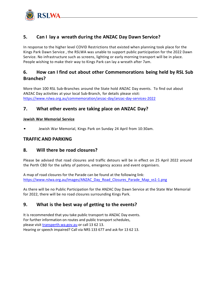

# **5. Can I lay a wreath during the ANZAC Day Dawn Service?**

In response to the higher level COVID Restrictions that existed when planning took place for the Kings Park Dawn Service , the RSLWA was unable to support public participation for the 2022 Dawn Service. No infrastructure such as screens, lighting or early morning transport will be in place. People wishing to make their way to Kings Park can lay a wreath after 7am.

# **6. How can I find out about other Commemorations being held by RSL Sub Branches?**

More than 100 RSL Sub-Branches around the State hold ANZAC Day events. To find out about ANZAC Day activities at your local Sub-Branch, for details please visit: https://www.rslwa.org.au/commemoration/anzac-day/anzac-day-services-2022

# **7. What other events are taking place on ANZAC Day?**

#### **Jewish War Memorial Service**

• Jewish War Memorial, Kings Park on Sunday 24 April from 10:30am.

## **TRAFFIC AND PARKING**

# **8. Will there be road closures?**

Please be advised that road closures and traffic detours will be in effect on 25 April 2022 around the Perth CBD for the safety of patrons, emergency access and event organisers.

A map of road closures for the Parade can be found at the following link: [https://www.rslwa.org.au/images/ANZAC\\_Day\\_Road\\_Closures\\_Parade\\_Map\\_vs1-1.png](https://www.rslwa.org.au/images/ANZAC_Day_Road_Closures_Parade_Map_vs1-1.png)

As there will be no Public Participation for the ANZAC Day Dawn Service at the State War Memorial for 2022, there will be no road closures surrounding Kings Park.

# **9. What is the best way of getting to the events?**

It is recommended that you take public transport to ANZAC Day events. For further information on routes and public transport schedules, please visi[t transperth.wa.gov.au](http://www.transperth.wa.gov.au/) or call 13 62 13. Hearing or speech impaired? Call via NRS 133 677 and ask for 13 62 13.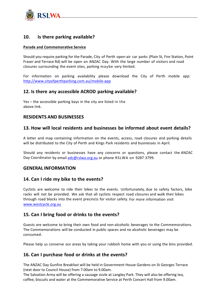

# **10. Is there parking available?**

#### **Parade and Commemorative Service**

Should you require parking for the Parade, City of Perth open-air car parks (Plain St, Fire Station, Point Fraser and Terrace Rd) will be open on ANZAC Day. With the large number of visitors and road closures surrounding the event sites, parking maybe very limited.

For information on parking availability please download the City of Perth mobile app: <http://www.cityofperthparking.com.au/mobile-app>

## **12. Is there any accessible ACROD parking available?**

Yes – the accessible parking bays in the city are listed in the above link.

## **RESIDENTS AND BUSINESSES**

## **13. How will local residents and businesses be informed about event details?**

A letter and map containing information on the events, access, road closures and parking details will be distributed to the City of Perth and Kings Park residents and businesses in April.

Should any residents or businesses have any concerns or questions, please contact the ANZAC Day Coordinator by email [adc@rslwa.org.au](mailto:adc@rslwa.org.au) or phone RSLWA on 9287 3799.

## **GENERAL INFORMATION**

## **14. Can I ride my bike to the events?**

Cyclists are welcome to ride their bikes to the events. Unfortunately, due to safety factors, bike racks will not be provided. We ask that all cyclists respect road closures and walk their bikes through road blocks into the event precincts for visitor safety. For more information visit [www.westcycle.org.au](http://www.westcycle.org.au/)

## **15. Can I bring food or drinks to the events?**

Guests are welcome to bring their own food and non-alcoholic beverages to the Commemorations. The Commemorations will be conducted in public spaces and no alcoholic beverages may be consumed.

Please help us conserve our areas by taking your rubbish home with you or using the bins provided.

## **16. Can I purchase food or drinks at the events?**

The ANZAC Day Gunfire Breakfast will be held in Government House Gardens on St Georges Terrace (next door to Council House) from 7:00am to 9.00am.

The Salvation Army will be offering a sausage sizzle at Langley Park. They will also be offering tea, coffee, biscuits and water at the Commemorative Service at Perth Concert Hall from 9.00am.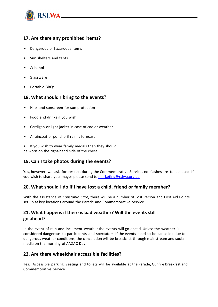

# **17. Are there any prohibited items?**

- Dangerous or hazardous items
- Sun shelters and tents
- Alcohol
- Glassware
- Portable BBQs

# **18. What should I bring to the events?**

- Hats and sunscreen for sun protection
- Food and drinks if you wish
- Cardigan or light jacket in case of cooler weather
- A raincoat or poncho if rain is forecast
- If you wish to wear family medals then they should be worn on the right-hand side of the chest.

# **19. Can I take photos during the events?**

Yes, however we ask for respect during the Commemorative Services no flashes are to be used. If you wish to share you images please send to [marketing@rslwa.org.au](mailto:marketing@rslwa.org.au)

# **20. What should I do if I have lost a child, friend or family member?**

With the assistance of *Constable Care*, there will be a number of Lost Person and First Aid Points set up at key locations around the Parade and Commemorative Service.

# **21. What happens if there is bad weather? Will the events still go ahead***?*

In the event of rain and inclement weather the events will go ahead. Unless the weather is considered dangerous to participants and spectators. If the events need to be cancelled due to dangerous weather conditions, the cancelation will be broadcast through mainstream and social media on the morning of ANZAC Day.

## **22. Are there wheelchair accessible facilities?**

Yes. Accessible parking, seating and toilets will be available at the Parade, Gunfire Breakfast and Commemorative Service.